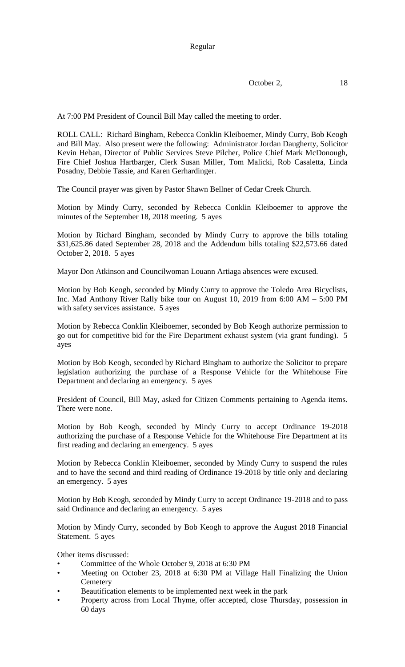At 7:00 PM President of Council Bill May called the meeting to order.

ROLL CALL: Richard Bingham, Rebecca Conklin Kleiboemer, Mindy Curry, Bob Keogh and Bill May. Also present were the following: Administrator Jordan Daugherty, Solicitor Kevin Heban, Director of Public Services Steve Pilcher, Police Chief Mark McDonough, Fire Chief Joshua Hartbarger, Clerk Susan Miller, Tom Malicki, Rob Casaletta, Linda Posadny, Debbie Tassie, and Karen Gerhardinger.

The Council prayer was given by Pastor Shawn Bellner of Cedar Creek Church.

Motion by Mindy Curry, seconded by Rebecca Conklin Kleiboemer to approve the minutes of the September 18, 2018 meeting. 5 ayes

Motion by Richard Bingham, seconded by Mindy Curry to approve the bills totaling \$31,625.86 dated September 28, 2018 and the Addendum bills totaling \$22,573.66 dated October 2, 2018. 5 ayes

Mayor Don Atkinson and Councilwoman Louann Artiaga absences were excused.

Motion by Bob Keogh, seconded by Mindy Curry to approve the Toledo Area Bicyclists, Inc. Mad Anthony River Rally bike tour on August 10, 2019 from 6:00 AM – 5:00 PM with safety services assistance. 5 ayes

Motion by Rebecca Conklin Kleiboemer, seconded by Bob Keogh authorize permission to go out for competitive bid for the Fire Department exhaust system (via grant funding). 5 ayes

Motion by Bob Keogh, seconded by Richard Bingham to authorize the Solicitor to prepare legislation authorizing the purchase of a Response Vehicle for the Whitehouse Fire Department and declaring an emergency. 5 ayes

President of Council, Bill May, asked for Citizen Comments pertaining to Agenda items. There were none.

Motion by Bob Keogh, seconded by Mindy Curry to accept Ordinance 19-2018 authorizing the purchase of a Response Vehicle for the Whitehouse Fire Department at its first reading and declaring an emergency. 5 ayes

Motion by Rebecca Conklin Kleiboemer, seconded by Mindy Curry to suspend the rules and to have the second and third reading of Ordinance 19-2018 by title only and declaring an emergency. 5 ayes

Motion by Bob Keogh, seconded by Mindy Curry to accept Ordinance 19-2018 and to pass said Ordinance and declaring an emergency. 5 ayes

Motion by Mindy Curry, seconded by Bob Keogh to approve the August 2018 Financial Statement. 5 ayes

Other items discussed:

- Committee of the Whole October 9, 2018 at 6:30 PM
- Meeting on October 23, 2018 at 6:30 PM at Village Hall Finalizing the Union **Cemetery**
- Beautification elements to be implemented next week in the park
- Property across from Local Thyme, offer accepted, close Thursday, possession in 60 days